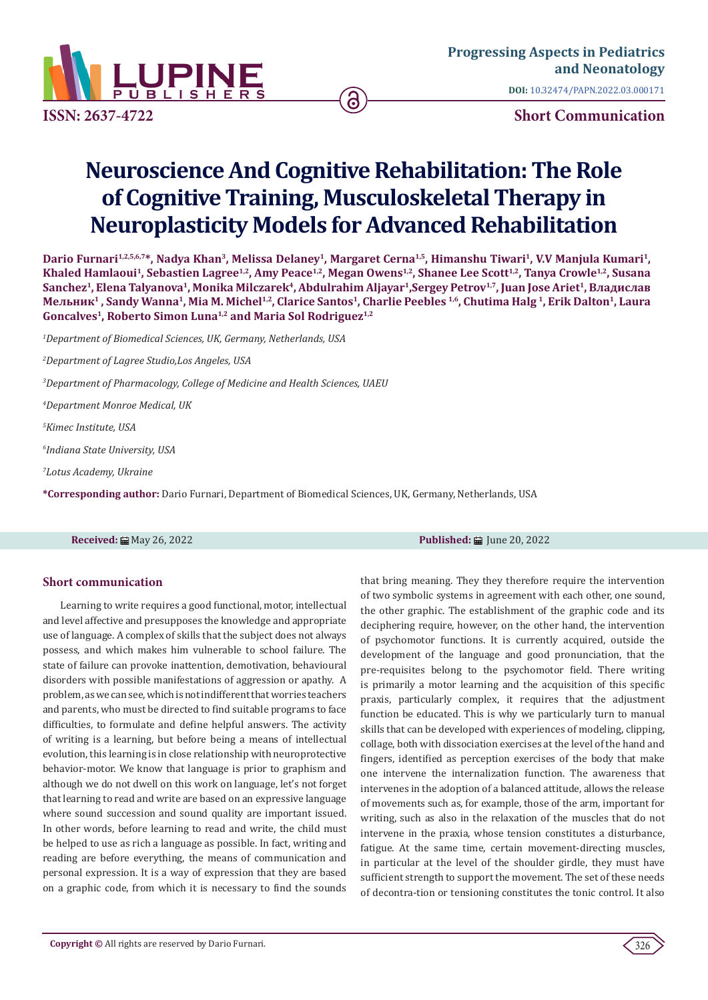

**DOI:** [10.32474/PAPN.2022.03.000171](http://dx.doi.org/10.32474/PAPN.2022.03.000171)

**ISSN: 2637-4722 Short Communication**

## **Neuroscience And Cognitive Rehabilitation: The Role of Cognitive Training, Musculoskeletal Therapy in Neuroplasticity Models for Advanced Rehabilitation**

ခြ

Dario Furnari<sup>1,2,5,6,7\*</sup>, Nadya Khan<sup>3</sup>, Melissa Delaney<sup>1</sup>, Margaret Cerna<sup>1,5</sup>, Himanshu Tiwari<sup>1</sup>, V.V Manjula Kumari<sup>1</sup>, Khaled Hamlaoui<sup>1</sup>, Sebastien Lagree<sup>1,2</sup>, Amy Peace<sup>1,2</sup>, Megan Owens<sup>1,2</sup>, Shanee Lee Scott<sup>1,2</sup>, Tanya Crowle<sup>1,2</sup>, Susana **Sanchez1, Elena Talyanova1, Monika Milczarek4, Abdulrahim Aljayar1,Sergey Petrov1,7, Juan Jose Ariet1, Владислав Мельник1 , Sandy Wanna1, Mia M. Michel1,2, Clarice Santos1, Charlie Peebles 1,6, Chutima Halg 1, Erik Dalton1, Laura Goncalves1, Roberto Simon Luna1,2 and Maria Sol Rodriguez1,2**

*1 Department of Biomedical Sciences, UK, Germany, Netherlands, USA*

*2 Department of Lagree Studio,Los Angeles, USA*

*3 Department of Pharmacology, College of Medicine and Health Sciences, UAEU*

*4 Department Monroe Medical, UK*

*5 Kimec Institute, USA*

*6 Indiana State University, USA*

*7 Lotus Academy, Ukraine*

**\*Corresponding author:** Dario Furnari, Department of Biomedical Sciences, UK, Germany, Netherlands, USA

## **Short communication**

Learning to write requires a good functional, motor, intellectual and level affective and presupposes the knowledge and appropriate use of language. A complex of skills that the subject does not always possess, and which makes him vulnerable to school failure. The state of failure can provoke inattention, demotivation, behavioural disorders with possible manifestations of aggression or apathy. A problem, as we can see, which is not indifferent that worries teachers and parents, who must be directed to find suitable programs to face difficulties, to formulate and define helpful answers. The activity of writing is a learning, but before being a means of intellectual evolution, this learning is in close relationship with neuroprotective behavior-motor. We know that language is prior to graphism and although we do not dwell on this work on language, let's not forget that learning to read and write are based on an expressive language where sound succession and sound quality are important issued. In other words, before learning to read and write, the child must be helped to use as rich a language as possible. In fact, writing and reading are before everything, the means of communication and personal expression. It is a way of expression that they are based on a graphic code, from which it is necessary to find the sounds

**Received: All May 26, 2022 Published: All May 26, 2022 Published: All May 20, 2022** 

that bring meaning. They they therefore require the intervention of two symbolic systems in agreement with each other, one sound, the other graphic. The establishment of the graphic code and its deciphering require, however, on the other hand, the intervention of psychomotor functions. It is currently acquired, outside the development of the language and good pronunciation, that the pre-requisites belong to the psychomotor field. There writing is primarily a motor learning and the acquisition of this specific praxis, particularly complex, it requires that the adjustment function be educated. This is why we particularly turn to manual skills that can be developed with experiences of modeling, clipping, collage, both with dissociation exercises at the level of the hand and fingers, identified as perception exercises of the body that make one intervene the internalization function. The awareness that intervenes in the adoption of a balanced attitude, allows the release of movements such as, for example, those of the arm, important for writing, such as also in the relaxation of the muscles that do not intervene in the praxia, whose tension constitutes a disturbance, fatigue. At the same time, certain movement-directing muscles, in particular at the level of the shoulder girdle, they must have sufficient strength to support the movement. The set of these needs of decontra-tion or tensioning constitutes the tonic control. It also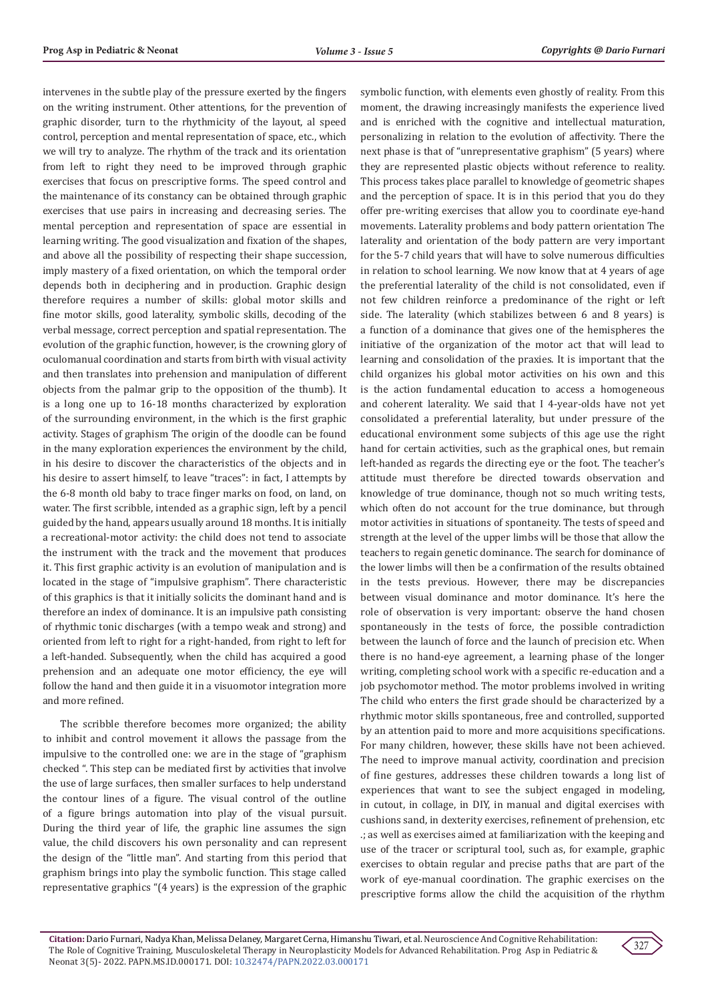intervenes in the subtle play of the pressure exerted by the fingers on the writing instrument. Other attentions, for the prevention of graphic disorder, turn to the rhythmicity of the layout, al speed control, perception and mental representation of space, etc., which we will try to analyze. The rhythm of the track and its orientation from left to right they need to be improved through graphic exercises that focus on prescriptive forms. The speed control and the maintenance of its constancy can be obtained through graphic exercises that use pairs in increasing and decreasing series. The mental perception and representation of space are essential in learning writing. The good visualization and fixation of the shapes, and above all the possibility of respecting their shape succession, imply mastery of a fixed orientation, on which the temporal order depends both in deciphering and in production. Graphic design therefore requires a number of skills: global motor skills and fine motor skills, good laterality, symbolic skills, decoding of the verbal message, correct perception and spatial representation. The evolution of the graphic function, however, is the crowning glory of oculomanual coordination and starts from birth with visual activity and then translates into prehension and manipulation of different objects from the palmar grip to the opposition of the thumb). It is a long one up to 16-18 months characterized by exploration of the surrounding environment, in the which is the first graphic activity. Stages of graphism The origin of the doodle can be found in the many exploration experiences the environment by the child, in his desire to discover the characteristics of the objects and in his desire to assert himself, to leave "traces": in fact, I attempts by the 6-8 month old baby to trace finger marks on food, on land, on water. The first scribble, intended as a graphic sign, left by a pencil guided by the hand, appears usually around 18 months. It is initially a recreational-motor activity: the child does not tend to associate the instrument with the track and the movement that produces it. This first graphic activity is an evolution of manipulation and is located in the stage of "impulsive graphism". There characteristic of this graphics is that it initially solicits the dominant hand and is therefore an index of dominance. It is an impulsive path consisting of rhythmic tonic discharges (with a tempo weak and strong) and oriented from left to right for a right-handed, from right to left for a left-handed. Subsequently, when the child has acquired a good prehension and an adequate one motor efficiency, the eye will follow the hand and then guide it in a visuomotor integration more and more refined.

The scribble therefore becomes more organized; the ability to inhibit and control movement it allows the passage from the impulsive to the controlled one: we are in the stage of "graphism checked ". This step can be mediated first by activities that involve the use of large surfaces, then smaller surfaces to help understand the contour lines of a figure. The visual control of the outline of a figure brings automation into play of the visual pursuit. During the third year of life, the graphic line assumes the sign value, the child discovers his own personality and can represent the design of the "little man". And starting from this period that graphism brings into play the symbolic function. This stage called representative graphics "(4 years) is the expression of the graphic

symbolic function, with elements even ghostly of reality. From this moment, the drawing increasingly manifests the experience lived and is enriched with the cognitive and intellectual maturation, personalizing in relation to the evolution of affectivity. There the next phase is that of "unrepresentative graphism" (5 years) where they are represented plastic objects without reference to reality. This process takes place parallel to knowledge of geometric shapes and the perception of space. It is in this period that you do they offer pre-writing exercises that allow you to coordinate eye-hand movements. Laterality problems and body pattern orientation The laterality and orientation of the body pattern are very important for the 5-7 child years that will have to solve numerous difficulties in relation to school learning. We now know that at 4 years of age the preferential laterality of the child is not consolidated, even if not few children reinforce a predominance of the right or left side. The laterality (which stabilizes between 6 and 8 years) is a function of a dominance that gives one of the hemispheres the initiative of the organization of the motor act that will lead to learning and consolidation of the praxies. It is important that the child organizes his global motor activities on his own and this is the action fundamental education to access a homogeneous and coherent laterality. We said that I 4-year-olds have not yet consolidated a preferential laterality, but under pressure of the educational environment some subjects of this age use the right hand for certain activities, such as the graphical ones, but remain left-handed as regards the directing eye or the foot. The teacher's attitude must therefore be directed towards observation and knowledge of true dominance, though not so much writing tests, which often do not account for the true dominance, but through motor activities in situations of spontaneity. The tests of speed and strength at the level of the upper limbs will be those that allow the teachers to regain genetic dominance. The search for dominance of the lower limbs will then be a confirmation of the results obtained in the tests previous. However, there may be discrepancies between visual dominance and motor dominance. It's here the role of observation is very important: observe the hand chosen spontaneously in the tests of force, the possible contradiction between the launch of force and the launch of precision etc. When there is no hand-eye agreement, a learning phase of the longer writing, completing school work with a specific re-education and a job psychomotor method. The motor problems involved in writing The child who enters the first grade should be characterized by a rhythmic motor skills spontaneous, free and controlled, supported by an attention paid to more and more acquisitions specifications. For many children, however, these skills have not been achieved. The need to improve manual activity, coordination and precision of fine gestures, addresses these children towards a long list of experiences that want to see the subject engaged in modeling, in cutout, in collage, in DIY, in manual and digital exercises with cushions sand, in dexterity exercises, refinement of prehension, etc .; as well as exercises aimed at familiarization with the keeping and use of the tracer or scriptural tool, such as, for example, graphic exercises to obtain regular and precise paths that are part of the work of eye-manual coordination. The graphic exercises on the prescriptive forms allow the child the acquisition of the rhythm

**Citation:**Dario Furnari, Nadya Khan, Melissa Delaney, Margaret Cerna, Himanshu Tiwari, et al. Neuroscience And Cognitive Rehabilitation: The Role of Cognitive Training, Musculoskeletal Therapy in Neuroplasticity Models for Advanced Rehabilitation. Prog Asp in Pediatric & Neonat 3(5)- 2022. PAPN.MS.ID.000171. DOI: [10.32474/PAPN.2022.03.000171](http://dx.doi.org/10.32474/PAPN.2022.03.000171)

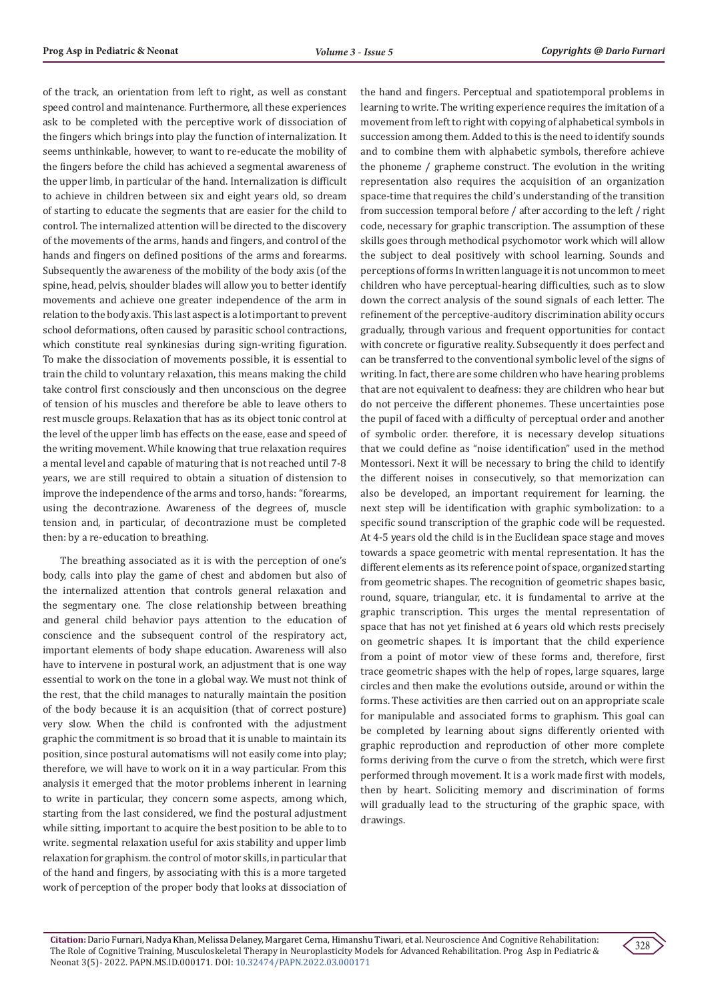of the track, an orientation from left to right, as well as constant speed control and maintenance. Furthermore, all these experiences ask to be completed with the perceptive work of dissociation of the fingers which brings into play the function of internalization. It seems unthinkable, however, to want to re-educate the mobility of the fingers before the child has achieved a segmental awareness of the upper limb, in particular of the hand. Internalization is difficult to achieve in children between six and eight years old, so dream of starting to educate the segments that are easier for the child to control. The internalized attention will be directed to the discovery of the movements of the arms, hands and fingers, and control of the hands and fingers on defined positions of the arms and forearms. Subsequently the awareness of the mobility of the body axis (of the spine, head, pelvis, shoulder blades will allow you to better identify movements and achieve one greater independence of the arm in relation to the body axis. This last aspect is a lot important to prevent school deformations, often caused by parasitic school contractions, which constitute real synkinesias during sign-writing figuration. To make the dissociation of movements possible, it is essential to train the child to voluntary relaxation, this means making the child take control first consciously and then unconscious on the degree of tension of his muscles and therefore be able to leave others to rest muscle groups. Relaxation that has as its object tonic control at the level of the upper limb has effects on the ease, ease and speed of the writing movement. While knowing that true relaxation requires a mental level and capable of maturing that is not reached until 7-8 years, we are still required to obtain a situation of distension to improve the independence of the arms and torso, hands: "forearms, using the decontrazione. Awareness of the degrees of, muscle tension and, in particular, of decontrazione must be completed then: by a re-education to breathing.

The breathing associated as it is with the perception of one's body, calls into play the game of chest and abdomen but also of the internalized attention that controls general relaxation and the segmentary one. The close relationship between breathing and general child behavior pays attention to the education of conscience and the subsequent control of the respiratory act, important elements of body shape education. Awareness will also have to intervene in postural work, an adjustment that is one way essential to work on the tone in a global way. We must not think of the rest, that the child manages to naturally maintain the position of the body because it is an acquisition (that of correct posture) very slow. When the child is confronted with the adjustment graphic the commitment is so broad that it is unable to maintain its position, since postural automatisms will not easily come into play; therefore, we will have to work on it in a way particular. From this analysis it emerged that the motor problems inherent in learning to write in particular, they concern some aspects, among which, starting from the last considered, we find the postural adjustment while sitting, important to acquire the best position to be able to to write. segmental relaxation useful for axis stability and upper limb relaxation for graphism. the control of motor skills, in particular that of the hand and fingers, by associating with this is a more targeted work of perception of the proper body that looks at dissociation of the hand and fingers. Perceptual and spatiotemporal problems in learning to write. The writing experience requires the imitation of a movement from left to right with copying of alphabetical symbols in succession among them. Added to this is the need to identify sounds and to combine them with alphabetic symbols, therefore achieve the phoneme / grapheme construct. The evolution in the writing representation also requires the acquisition of an organization space-time that requires the child's understanding of the transition from succession temporal before / after according to the left / right code, necessary for graphic transcription. The assumption of these skills goes through methodical psychomotor work which will allow the subject to deal positively with school learning. Sounds and perceptions of forms In written language it is not uncommon to meet children who have perceptual-hearing difficulties, such as to slow down the correct analysis of the sound signals of each letter. The refinement of the perceptive-auditory discrimination ability occurs gradually, through various and frequent opportunities for contact with concrete or figurative reality. Subsequently it does perfect and can be transferred to the conventional symbolic level of the signs of writing. In fact, there are some children who have hearing problems that are not equivalent to deafness: they are children who hear but do not perceive the different phonemes. These uncertainties pose the pupil of faced with a difficulty of perceptual order and another of symbolic order. therefore, it is necessary develop situations that we could define as "noise identification" used in the method Montessori. Next it will be necessary to bring the child to identify the different noises in consecutively, so that memorization can also be developed, an important requirement for learning. the next step will be identification with graphic symbolization: to a specific sound transcription of the graphic code will be requested. At 4-5 years old the child is in the Euclidean space stage and moves towards a space geometric with mental representation. It has the different elements as its reference point of space, organized starting from geometric shapes. The recognition of geometric shapes basic, round, square, triangular, etc. it is fundamental to arrive at the graphic transcription. This urges the mental representation of space that has not yet finished at 6 years old which rests precisely on geometric shapes. It is important that the child experience from a point of motor view of these forms and, therefore, first trace geometric shapes with the help of ropes, large squares, large circles and then make the evolutions outside, around or within the forms. These activities are then carried out on an appropriate scale for manipulable and associated forms to graphism. This goal can be completed by learning about signs differently oriented with graphic reproduction and reproduction of other more complete forms deriving from the curve o from the stretch, which were first performed through movement. It is a work made first with models, then by heart. Soliciting memory and discrimination of forms will gradually lead to the structuring of the graphic space, with drawings.

**Citation:**Dario Furnari, Nadya Khan, Melissa Delaney, Margaret Cerna, Himanshu Tiwari, et al. Neuroscience And Cognitive Rehabilitation: The Role of Cognitive Training, Musculoskeletal Therapy in Neuroplasticity Models for Advanced Rehabilitation. Prog Asp in Pediatric & Neonat 3(5)- 2022. PAPN.MS.ID.000171. DOI: [10.32474/PAPN.2022.03.000171](http://dx.doi.org/10.32474/PAPN.2022.03.000171)